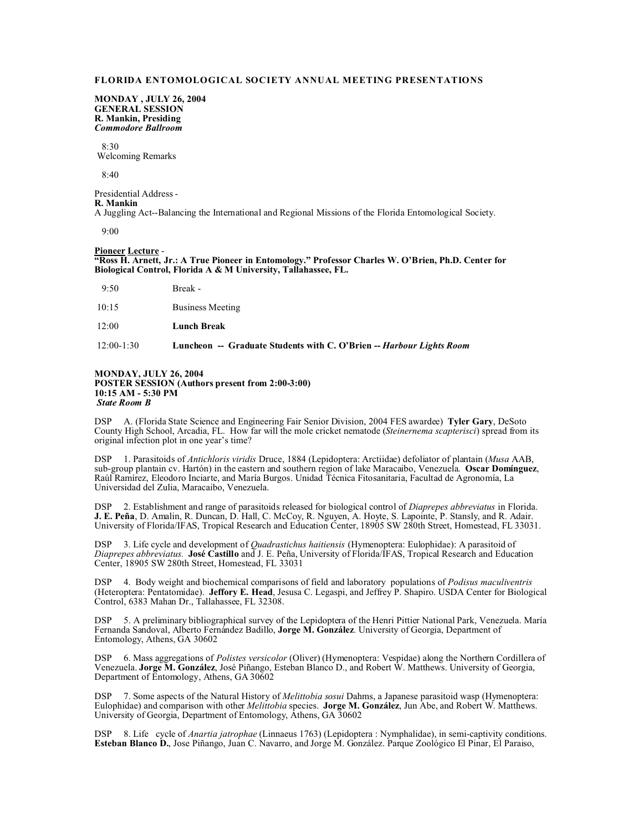# **FLORIDA ENTOMOLOGICAL SOCIETY ANNUAL MEETING PRESENTATIONS**

**MONDAY , JULY 26, 2004 GENERAL SESSION R. Mankin, Presiding** *Commodore Ballroom*

 $8.30$ Welcoming Remarks

 $8.40$ 

Presidential Address - **R. Mankin**  A Juggling Act--Balancing the International and Regional Missions of the Florida Entomological Society.

 $9.00$ 

### **Pioneer Lecture** - **"Ross H. Arnett, Jr.: A True Pioneer in Entomology." Professor Charles W. O'Brien, Ph.D. Center for Biological Control, Florida A & M University, Tallahassee, FL.**

9:50 Break -

| 10:15 | <b>Business Meeting</b> |
|-------|-------------------------|
| 12:00 | <b>Lunch Break</b>      |

12:00-1:30 **Luncheon -- Graduate Students with C. O'Brien --** *Harbour Lights Room*

## **MONDAY, JULY 26, 2004 POSTER SESSION (Authors present from 2:00-3:00) 10:15 AM - 5:30 PM** *State Room B*

DSP A. (Florida State Science and Engineering Fair Senior Division, 2004 FES awardee) **Tyler Gary**, DeSoto County High School, Arcadia, FL. How far will the mole cricket nematode (*Steinernema scapterisci*) spread from its original infection plot in one year's time?

DSP 1. Parasitoids of *Antichloris viridis* Druce, 1884 (Lepidoptera: Arctiidae) defoliator of plantain (*Musa* AAB, sub-group plantain cv. Hartón) in the eastern and southern region of lake Maracaibo, Venezuela. **Oscar Domínguez**, Raúl Ramírez, Eleodoro Inciarte, and María Burgos. Unidad Técnica Fitosanitaria, Facultad de Agronomía, La Universidad del Zulia, Maracaibo, Venezuela.

DSP 2. Establishment and range of parasitoids released for biological control of *Diaprepes abbreviatus* in Florida. **J. E. Peña**, D. Amalin, R. Duncan, D. Hall, C. McCoy, R. Nguyen, A. Hoyte, S. Lapointe, P. Stansly, and R. Adair. University of Florida/IFAS, Tropical Research and Education Center, 18905 SW 280th Street, Homestead, FL 33031.

DSP 3. Life cycle and development of *Quadrastichus haitiensis* (Hymenoptera: Eulophidae): A parasitoid of *Diaprepes abbreviatus.* **José Castillo** and J. E. Peña, University of Florida/IFAS, Tropical Research and Education Center, 18905 SW 280th Street, Homestead, FL 33031

DSP 4. Body weight and biochemical comparisons of field and laboratory populations of *Podisus maculiventris* (Heteroptera: Pentatomidae). **Jeffory E. Head**, Jesusa C. Legaspi, and Jeffrey P. Shapiro. USDA Center for Biological Control, 6383 Mahan Dr., Tallahassee, FL 32308.

DSP 5. A preliminary bibliographical survey of the Lepidoptera of the Henri Pittier National Park, Venezuela. María Fernanda Sandoval, Alberto Fernández Badillo, **Jorge M. González**. University of Georgia, Department of Entomology, Athens, GA 30602

DSP 6. Mass aggregations of *Polistes versicolor* (Oliver) (Hymenoptera: Vespidae) along the Northern Cordillera of Venezuela. **Jorge M. González**, José Piñango, Esteban Blanco D., and Robert W. Matthews. University of Georgia, Department of Entomology, Athens, GA 30602

DSP 7. Some aspects of the Natural History of *Melittobia sosui* Dahms, a Japanese parasitoid wasp (Hymenoptera: Eulophidae) and comparison with other *Melittobia* species. **Jorge M. González**, Jun Abe, and Robert W. Matthews. University of Georgia, Department of Entomology, Athens, GA 30602

DSP 8. Life cycle of *Anartia jatrophae* (Linnaeus 1763) (Lepidoptera : Nymphalidae), in semi-captivity conditions. **Esteban Blanco D.**, Jose Piñango, Juan C. Navarro, and Jorge M. González. Parque Zoológico El Pinar, El Paraiso,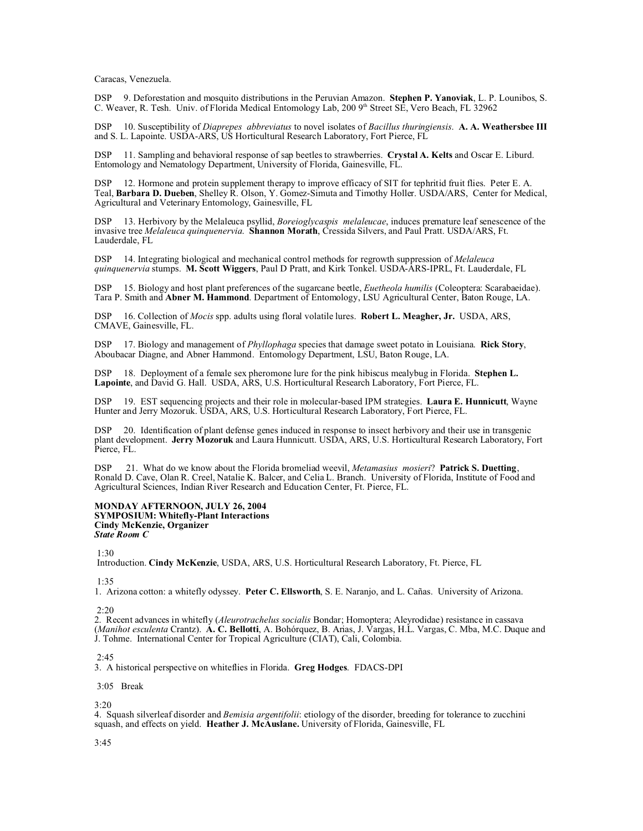Caracas, Venezuela.

DSP 9. Deforestation and mosquito distributions in the Peruvian Amazon. **Stephen P. Yanoviak**, L. P. Lounibos, S. C. Weaver, R. Tesh. Univ. of Florida Medical Entomology Lab, 200 9th Street SE, Vero Beach, FL 32962

DSP 10. Susceptibility of *Diaprepes abbreviatus* to novel isolates of *Bacillus thuringiensis*. **A. A. Weathersbee III** and S. L. Lapointe. USDA-ARS, US Horticultural Research Laboratory, Fort Pierce, FL

DSP 11. Sampling and behavioral response of sap beetles to strawberries. **Crystal A. Kelts** and Oscar E. Liburd. Entomology and Nematology Department, University of Florida, Gainesville, FL.

DSP 12. Hormone and protein supplement therapy to improve efficacy of SIT for tephritid fruit flies. Peter E. A. Teal, **Barbara D. Dueben**, Shelley R. Olson, Y. Gomez-Simuta and Timothy Holler. USDA/ARS, Center for Medical, Agricultural and Veterinary Entomology, Gainesville, FL

13. Herbivory by the Melaleuca psyllid, *Boreioglycaspis melaleucae*, induces premature leaf senescence of the invasive tree *Melaleuca quinquenervia*. **Shannon Morath**, Cressida Silvers, and Paul Pratt. USDA/ARS, Ft. Lauderdale, FL

DSP 14. Integrating biological and mechanical control methods for regrowth suppression of *Melaleuca quinquenervia* stumps. **M. Scott Wiggers**, Paul D Pratt, and Kirk Tonkel. USDA-ARS-IPRL, Ft. Lauderdale, FL

DSP 15. Biology and host plant preferences of the sugarcane beetle, *Euetheola humilis* (Coleoptera: Scarabaeidae). Tara P. Smith and **Abner M. Hammond**. Department of Entomology, LSU Agricultural Center, Baton Rouge, LA.

DSP 16. Collection of *Mocis* spp. adults using floral volatile lures. **Robert L. Meagher, Jr.** USDA, ARS, CMAVE, Gainesville, FL.

DSP 17. Biology and management of *Phyllophaga* species that damage sweet potato in Louisiana. **Rick Story**, Aboubacar Diagne, and Abner Hammond. Entomology Department, LSU, Baton Rouge, LA.

DSP 18. Deployment of a female sex pheromone lure for the pink hibiscus mealybug in Florida. **Stephen L. Lapointe**, and David G. Hall. USDA, ARS, U.S. Horticultural Research Laboratory, Fort Pierce, FL.

DSP 19. EST sequencing projects and their role in molecular-based IPM strategies. **Laura E. Hunnicutt**, Wayne Hunter and Jerry Mozoruk. USDA, ARS, U.S. Horticultural Research Laboratory, Fort Pierce, FL.

DSP 20. Identification of plant defense genes induced in response to insect herbivory and their use in transgenic plant development. **Jerry Mozoruk** and Laura Hunnicutt. USDA, ARS, U.S. Horticultural Research Laboratory, Fort Pierce, FL.

DSP 21. What do we know about the Florida bromeliad weevil, *Metamasius mosieri*? **Patrick S. Duetting**, Ronald D. Cave, Olan R. Creel, Natalie K. Balcer, and Celia L. Branch. University of Florida, Institute of Food and Agricultural Sciences, Indian River Research and Education Center, Ft. Pierce, FL.

### **MONDAY AFTERNOON, JULY 26, 2004 SYMPOSIUM: Whitefly-Plant Interactions Cindy McKenzie, Organizer** *State Room C*

1:30

Introduction. **Cindy McKenzie**, USDA, ARS, U.S. Horticultural Research Laboratory, Ft. Pierce, FL

1:35

1. Arizona cotton: a whitefly odyssey. **Peter C. Ellsworth**, S. E. Naranjo, and L. Cañas. University of Arizona.

2:20

2. Recent advances in whitefly (*Aleurotrachelus socialis* Bondar; Homoptera; Aleyrodidae) resistance in cassava (*Manihot esculenta* Crantz). **A. C. Bellotti**, A. Bohórquez, B. Arias, J. Vargas, H.L. Vargas, C. Mba, M.C. Duque and J. Tohme. International Center for Tropical Agriculture (CIAT), Cali, Colombia.

## 2:45

3. A historical perspective on whiteflies in Florida. **Greg Hodges**. FDACS-DPI

3:05 Break

3:20

4. Squash silverleaf disorder and *Bemisia argentifolii*: etiology of the disorder, breeding for tolerance to zucchini squash, and effects on yield. **Heather J. McAuslane.** University of Florida, Gainesville, FL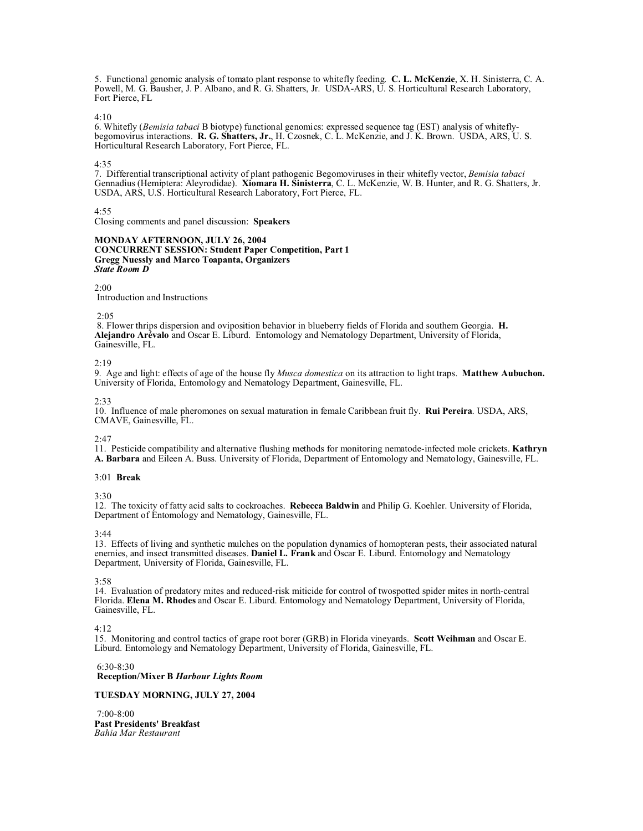5. Functional genomic analysis of tomato plant response to whitefly feeding. **C. L. McKenzie**, X. H. Sinisterra, C. A. Powell, M. G. Bausher, J. P. Albano, and R. G. Shatters, Jr. USDA-ARS, U. S. Horticultural Research Laboratory, Fort Pierce, FL

4:10

6. Whitefly (*Bemisia tabaci* B biotype) functional genomics: expressed sequence tag (EST) analysis of whiteflybegomovirus interactions. **R. G. Shatters, Jr.**, H. Czosnek, C. L. McKenzie, and J. K. Brown. USDA, ARS, U. S. Horticultural Research Laboratory, Fort Pierce, FL.

4:35

7. Differential transcriptional activity of plant pathogenic Begomoviruses in their whitefly vector, *Bemisia tabaci* Gennadius (Hemiptera: Aleyrodidae). **Xiomara H. Sinisterra**, C. L. McKenzie, W. B. Hunter, and R. G. Shatters, Jr. USDA, ARS, U.S. Horticultural Research Laboratory, Fort Pierce, FL.

4:55

Closing comments and panel discussion: **Speakers**

# **MONDAY AFTERNOON, JULY 26, 2004 CONCURRENT SESSION: Student Paper Competition, Part 1 Gregg Nuessly and Marco Toapanta, Organizers** *State Room D*

2:00

Introduction and Instructions

## 2:05

 8. Flower thrips dispersion and oviposition behavior in blueberry fields of Florida and southern Georgia. **H. Alejandro Arévalo** and Oscar E. Liburd. Entomology and Nematology Department, University of Florida, Gainesville, FL.

2:19

9. Age and light: effects of age of the house fly *Musca domestica* on its attraction to light traps. **Matthew Aubuchon.**  University of Florida, Entomology and Nematology Department, Gainesville, FL.

## 2:33

10. Influence of male pheromones on sexual maturation in female Caribbean fruit fly. **Rui Pereira**. USDA, ARS, CMAVE, Gainesville, FL.

## 2:47

11. Pesticide compatibility and alternative flushing methods for monitoring nematode-infected mole crickets. **Kathryn A. Barbara** and Eileen A. Buss. University of Florida, Department of Entomology and Nematology, Gainesville, FL.

# 3:01 **Break**

3:30

12. The toxicity of fatty acid salts to cockroaches. **Rebecca Baldwin** and Philip G. Koehler. University of Florida, Department of Entomology and Nematology, Gainesville, FL.

## 3:44

13. Effects of living and synthetic mulches on the population dynamics of homopteran pests, their associated natural enemies, and insect transmitted diseases. **Daniel L. Frank** and Oscar E. Liburd. Entomology and Nematology Department, University of Florida, Gainesville, FL.

3:58

14. Evaluation of predatory mites and reduced-risk miticide for control of twospotted spider mites in north-central Florida. **Elena M. Rhodes** and Oscar E. Liburd. Entomology and Nematology Department, University of Florida, Gainesville, FL.

4:12

15. Monitoring and control tactics of grape root borer (GRB) in Florida vineyards. **Scott Weihman** and Oscar E. Liburd. Entomology and Nematology Department, University of Florida, Gainesville, FL.

 $6.30 - 8.30$ **Reception/Mixer B** *Harbour Lights Room*

# **TUESDAY MORNING, JULY 27, 2004**

 7:00-8:00 **Past Presidents' Breakfast** *Bahia Mar Restaurant*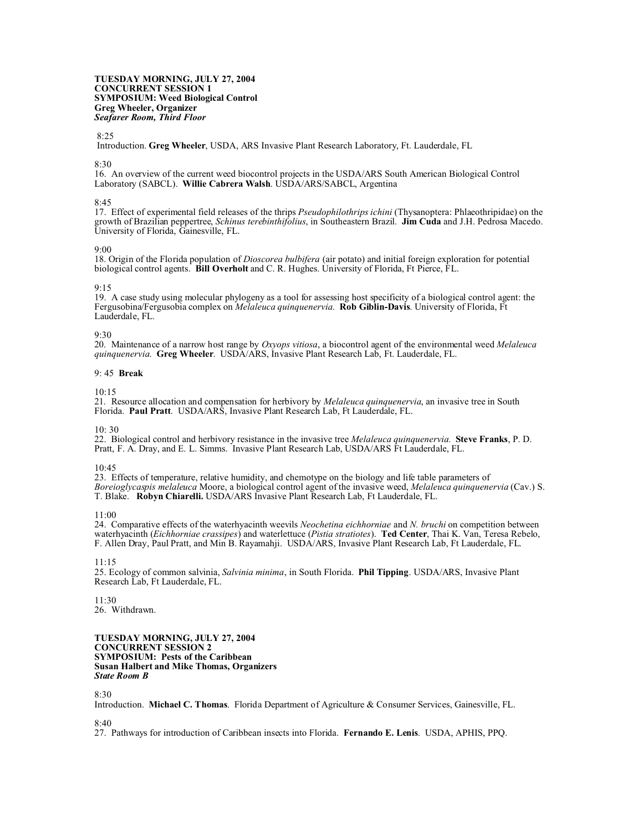**TUESDAY MORNING, JULY 27, 2004 CONCURRENT SESSION 1 SYMPOSIUM: Weed Biological Control Greg Wheeler, Organizer** *Seafarer Room, Third Floor*

# 8:25

Introduction. **Greg Wheeler**, USDA, ARS Invasive Plant Research Laboratory, Ft. Lauderdale, FL

### 8:30

16. An overview of the current weed biocontrol projects in the USDA/ARS South American Biological Control Laboratory (SABCL). **Willie Cabrera Walsh**. USDA/ARS/SABCL, Argentina

### 8:45

17. Effect of experimental field releases of the thrips *Pseudophilothrips ichini* (Thysanoptera: Phlaeothripidae) on the growth of Brazilian peppertree, *Schinus terebinthifolius*, in Southeastern Brazil. **Jim Cuda** and J.H. Pedrosa Macedo. University of Florida, Gainesville, FL.

### 9:00

18. Origin of the Florida population of *Dioscorea bulbifera* (air potato) and initial foreign exploration for potential biological control agents. **Bill Overholt** and C. R. Hughes. University of Florida, Ft Pierce, FL.

# 9:15

19. A case study using molecular phylogeny as a tool for assessing host specificity of a biological control agent: the Fergusobina/Fergusobia complex on *Melaleuca quinquenervia*. **Rob Giblin-Davis**. University of Florida, Ft Lauderdale, FL.

### 9:30

20. Maintenance of a narrow host range by *Oxyops vitiosa*, a biocontrol agent of the environmental weed *Melaleuca quinquenervia*. **Greg Wheeler**. USDA/ARS, Invasive Plant Research Lab, Ft. Lauderdale, FL.

### 9: 45 **Break**

 $10.15$ 

21. Resource allocation and compensation for herbivory by *Melaleuca quinquenervia*, an invasive tree in South Florida. **Paul Pratt**. USDA/ARS, Invasive Plant Research Lab, Ft Lauderdale, FL.

 $10: 30$ 

22. Biological control and herbivory resistance in the invasive tree *Melaleuca quinquenervia.* **Steve Franks**, P. D. Pratt, F. A. Dray, and E. L. Simms. Invasive Plant Research Lab, USDA/ARS Ft Lauderdale, FL.

# 10:45

23. Effects of temperature, relative humidity, and chemotype on the biology and life table parameters of *Boreioglycaspis melaleuca* Moore, a biological control agent of the invasive weed, *Melaleuca quinquenervia* (Cav.) S. T. Blake. **Robyn Chiarelli.** USDA/ARS Invasive Plant Research Lab, Ft Lauderdale, FL.

## 11:00

24. Comparative effects of the waterhyacinth weevils *Neochetina eichhorniae* and *N. bruchi* on competition between waterhyacinth (*Eichhorniae crassipes*) and waterlettuce (*Pistia stratiotes*). **Ted Center**, Thai K. Van, Teresa Rebelo, F. Allen Dray, Paul Pratt, and Min B. Rayamahji. USDA/ARS, Invasive Plant Research Lab, Ft Lauderdale, FL.

11:15

25. Ecology of common salvinia, *Salvinia minima*, in South Florida. **Phil Tipping**. USDA/ARS, Invasive Plant Research Lab, Ft Lauderdale, FL.

11:30 26. Withdrawn.

**TUESDAY MORNING, JULY 27, 2004 CONCURRENT SESSION 2 SYMPOSIUM: Pests of the Caribbean Susan Halbert and Mike Thomas, Organizers** *State Room B*

## 8:30

Introduction. **Michael C. Thomas**. Florida Department of Agriculture & Consumer Services, Gainesville, FL.

# 8:40

27. Pathways for introduction of Caribbean insects into Florida. **Fernando E. Lenis**. USDA, APHIS, PPQ.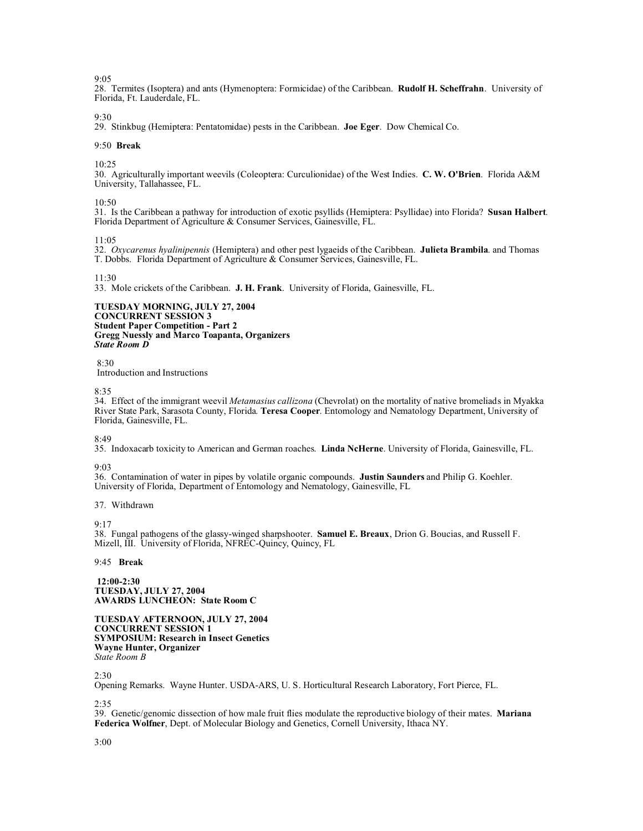9:05

28. Termites (Isoptera) and ants (Hymenoptera: Formicidae) of the Caribbean. **Rudolf H. Scheffrahn**. University of Florida, Ft. Lauderdale, FL.

9:30

29. Stinkbug (Hemiptera: Pentatomidae) pests in the Caribbean. **Joe Eger**. Dow Chemical Co.

### 9:50 **Break**

10:25

30. Agriculturally important weevils (Coleoptera: Curculionidae) of the West Indies. **C. W. O'Brien**. Florida A&M University, Tallahassee, FL.

 $10.50$ 

31. Is the Caribbean a pathway for introduction of exotic psyllids (Hemiptera: Psyllidae) into Florida? **Susan Halbert**. Florida Department of Agriculture & Consumer Services, Gainesville, FL.

 $11:05$ 

32. *Oxycarenus hyalinipennis* (Hemiptera) and other pest lygaeids of the Caribbean. **Julieta Brambila**. and Thomas T. Dobbs. Florida Department of Agriculture & Consumer Services, Gainesville, FL.

11:30

33. Mole crickets of the Caribbean. **J. H. Frank**. University of Florida, Gainesville, FL.

**TUESDAY MORNING, JULY 27, 2004 CONCURRENT SESSION 3 Student Paper Competition - Part 2 Gregg Nuessly and Marco Toapanta, Organizers** *State Room D*

# 8:30

Introduction and Instructions

#### 8:35

34. Effect of the immigrant weevil *Metamasius callizona* (Chevrolat) on the mortality of native bromeliads in Myakka River State Park, Sarasota County, Florida. **Teresa Cooper**. Entomology and Nematology Department, University of Florida, Gainesville, FL.

8:49

35. Indoxacarb toxicity to American and German roaches. **Linda NcHerne**. University of Florida, Gainesville, FL.

#### 9:03

36. Contamination of water in pipes by volatile organic compounds. **Justin Saunders** and Philip G. Koehler. University of Florida, Department of Entomology and Nematology, Gainesville, FL

## 37. Withdrawn

 $9.17$ 

38. Fungal pathogens of the glassy-winged sharpshooter. **Samuel E. Breaux**, Drion G. Boucias, and Russell F. Mizell, III. University of Florida, NFREC-Quincy, Quincy, FL

## 9:45 **Break**

**12:00-2:30 TUESDAY, JULY 27, 2004 AWARDS LUNCHEON: State Room C**

**TUESDAY AFTERNOON, JULY 27, 2004 CONCURRENT SESSION 1 SYMPOSIUM: Research in Insect Genetics Wayne Hunter, Organizer** *State Room B*

## 2:30

Opening Remarks. Wayne Hunter. USDA-ARS, U. S. Horticultural Research Laboratory, Fort Pierce, FL.

2:35

39. Genetic/genomic dissection of how male fruit flies modulate the reproductive biology of their mates. **Mariana Federica Wolfner**, Dept. of Molecular Biology and Genetics, Cornell University, Ithaca NY.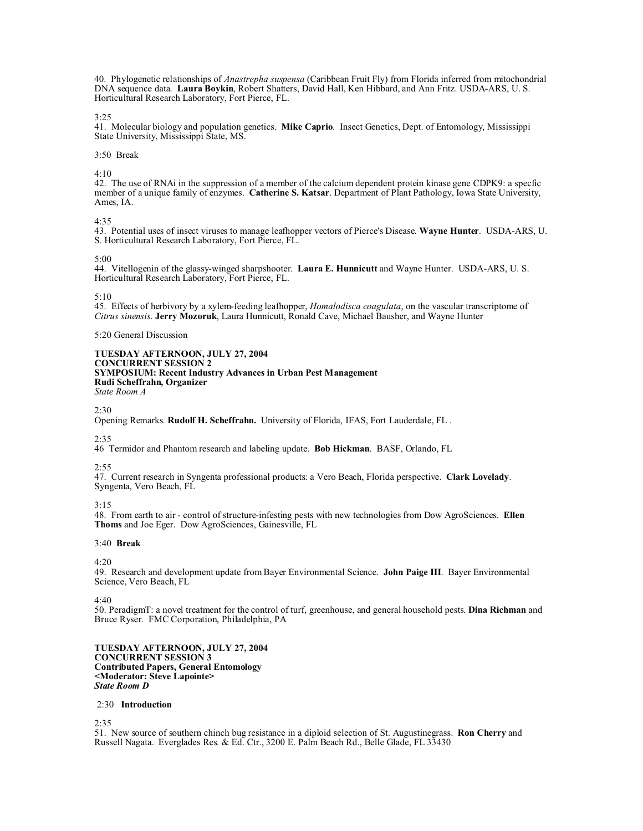40. Phylogenetic relationships of *Anastrepha suspensa* (Caribbean Fruit Fly) from Florida inferred from mitochondrial DNA sequence data. **Laura Boykin**, Robert Shatters, David Hall, Ken Hibbard, and Ann Fritz. USDA-ARS, U. S. Horticultural Research Laboratory, Fort Pierce, FL.

3:25

41. Molecular biology and population genetics. **Mike Caprio**. Insect Genetics, Dept. of Entomology, Mississippi State University, Mississippi State, MS.

# 3:50 Break

4:10

42. The use of RNAi in the suppression of a member of the calcium dependent protein kinase gene CDPK9: a specfic member of a unique family of enzymes. **Catherine S. Katsar**. Department of Plant Pathology, Iowa State University, Ames, IA.

4:35

43. Potential uses of insect viruses to manage leafhopper vectors of Pierce's Disease. **Wayne Hunter**. USDA-ARS, U. S. Horticultural Research Laboratory, Fort Pierce, FL.

## 5:00

44. Vitellogenin of the glassy-winged sharpshooter. **Laura E. Hunnicutt** and Wayne Hunter. USDA-ARS, U. S. Horticultural Research Laboratory, Fort Pierce, FL.

# $5:10$

45. Effects of herbivory by a xylem-feeding leafhopper, *Homalodisca coagulata*, on the vascular transcriptome of *Citrus sinensis*. **Jerry Mozoruk**, Laura Hunnicutt, Ronald Cave, Michael Bausher, and Wayne Hunter

5:20 General Discussion

### **TUESDAY AFTERNOON, JULY 27, 2004 CONCURRENT SESSION 2 SYMPOSIUM: Recent Industry Advances in Urban Pest Management Rudi Scheffrahn, Organizer** *State Room A*

 $2:30$ 

Opening Remarks. **Rudolf H. Scheffrahn.** University of Florida, IFAS, Fort Lauderdale, FL .

2:35

46 Termidor and Phantom research and labeling update. **Bob Hickman**. BASF, Orlando, FL

2:55

47. Current research in Syngenta professional products: a Vero Beach, Florida perspective. **Clark Lovelady**. Syngenta, Vero Beach, FL

3:15

48. From earth to air - control of structure-infesting pests with new technologies from Dow AgroSciences. **Ellen Thoms** and Joe Eger. Dow AgroSciences, Gainesville, FL

# 3:40 **Break**

4:20

49. Research and development update from Bayer Environmental Science. **John Paige III**. Bayer Environmental Science, Vero Beach, FL

4:40

50. PeradigmT: a novel treatment for the control of turf, greenhouse, and general household pests. **Dina Richman** and Bruce Ryser. FMC Corporation, Philadelphia, PA

**TUESDAY AFTERNOON, JULY 27, 2004 CONCURRENT SESSION 3 Contributed Papers, General Entomology <Moderator: Steve Lapointe>** *State Room D*

# 2:30 **Introduction**

 $2.35$ 

51. New source of southern chinch bug resistance in a diploid selection of St. Augustinegrass. **Ron Cherry** and Russell Nagata. Everglades Res. & Ed. Ctr., 3200 E. Palm Beach Rd., Belle Glade, FL 33430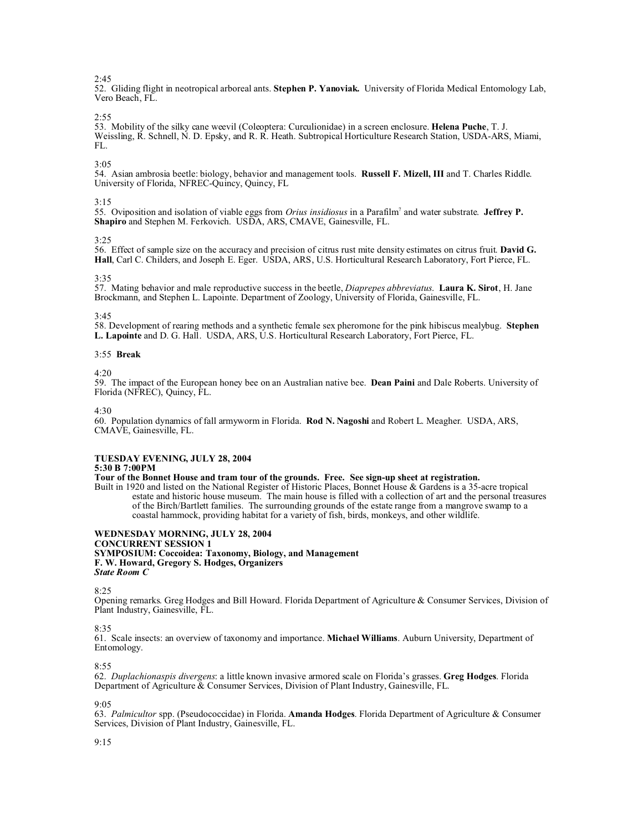# $2:45$

52. Gliding flight in neotropical arboreal ants. **Stephen P. Yanoviak.** University of Florida Medical Entomology Lab, Vero Beach, FL.

### $2:55$

53. Mobility of the silky cane weevil (Coleoptera: Curculionidae) in a screen enclosure. **Helena Puche**, T. J. Weissling, R. Schnell, N. D. Epsky, and R. R. Heath. Subtropical Horticulture Research Station, USDA-ARS, Miami, FL.

# 3:05

54. Asian ambrosia beetle: biology, behavior and management tools. **Russell F. Mizell, III** and T. Charles Riddle. University of Florida, NFREC-Quincy, Quincy, FL

# 3:15

55. Oviposition and isolation of viable eggs from *Orius insidiosus* in a Parafilm<sup>7</sup> and water substrate. **Jeffrey P. Shapiro** and Stephen M. Ferkovich. USDA, ARS, CMAVE, Gainesville, FL.

# $3.25$

56. Effect of sample size on the accuracy and precision of citrus rust mite density estimates on citrus fruit. **David G. Hall**, Carl C. Childers, and Joseph E. Eger. USDA, ARS, U.S. Horticultural Research Laboratory, Fort Pierce, FL.

### 3:35

57. Mating behavior and male reproductive success in the beetle, *Diaprepes abbreviatus*. **Laura K. Sirot**, H. Jane Brockmann, and Stephen L. Lapointe. Department of Zoology, University of Florida, Gainesville, FL.

### 3:45

58. Development of rearing methods and a synthetic female sex pheromone for the pink hibiscus mealybug. **Stephen L. Lapointe** and D. G. Hall. USDA, ARS, U.S. Horticultural Research Laboratory, Fort Pierce, FL.

#### 3:55 **Break**

 $4.20$ 

59. The impact of the European honey bee on an Australian native bee. **Dean Paini** and Dale Roberts. University of Florida (NFREC), Quincy, FL.

4:30

60. Population dynamics of fall armyworm in Florida. **Rod N. Nagoshi** and Robert L. Meagher. USDA, ARS, CMAVE, Gainesville, FL.

# **TUESDAY EVENING, JULY 28, 2004**

# **5:30 B 7:00PM**

# **Tour of the Bonnet House and tram tour of the grounds. Free. See sign-up sheet at registration.**

Built in 1920 and listed on the National Register of Historic Places, Bonnet House & Gardens is a 35-acre tropical estate and historic house museum. The main house is filled with a collection of art and the personal treasures of the Birch/Bartlett families. The surrounding grounds of the estate range from a mangrove swamp to a coastal hammock, providing habitat for a variety of fish, birds, monkeys, and other wildlife.

### **WEDNESDAY MORNING, JULY 28, 2004 CONCURRENT SESSION 1 SYMPOSIUM: Coccoidea: Taxonomy, Biology, and Management F. W. Howard, Gregory S. Hodges, Organizers** *State Room C*

8:25

Opening remarks. Greg Hodges and Bill Howard. Florida Department of Agriculture & Consumer Services, Division of Plant Industry, Gainesville, FL.

## 8:35

61. Scale insects: an overview of taxonomy and importance. **Michael Williams**. Auburn University, Department of Entomology.

#### 8:55

62. *Duplachionaspis divergens*: a little known invasive armored scale on Florida's grasses. **Greg Hodges**. Florida Department of Agriculture & Consumer Services, Division of Plant Industry, Gainesville, FL.

 $9.05$ 

63. *Palmicultor* spp. (Pseudococcidae) in Florida. **Amanda Hodges**. Florida Department of Agriculture & Consumer Services, Division of Plant Industry, Gainesville, FL.

## 9:15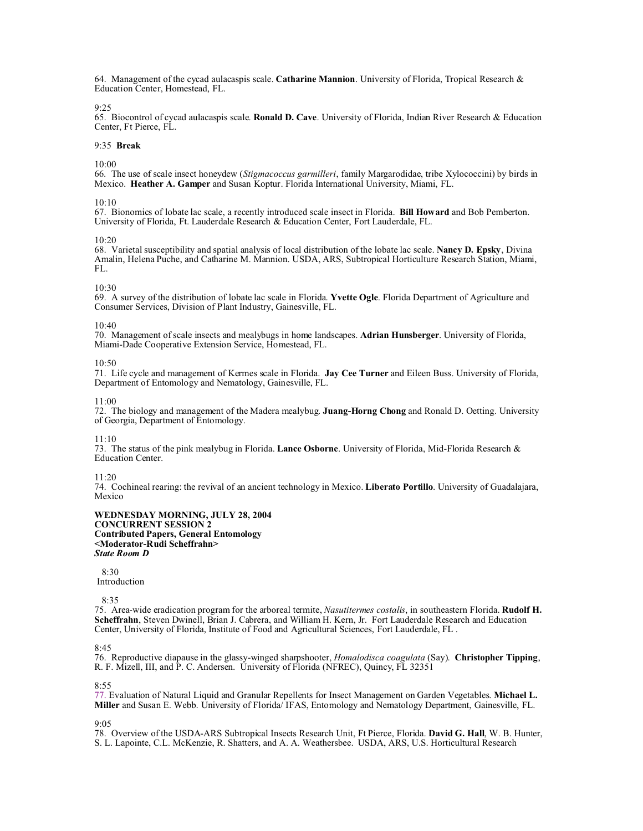64. Management of the cycad aulacaspis scale. **Catharine Mannion**. University of Florida, Tropical Research & Education Center, Homestead, FL.

 $9.25$ 

65. Biocontrol of cycad aulacaspis scale. **Ronald D. Cave**. University of Florida, Indian River Research & Education Center, Ft Pierce, FL.

# 9:35 **Break**

10:00

66. The use of scale insect honeydew (*Stigmacoccus garmilleri*, family Margarodidae, tribe Xylococcini) by birds in Mexico. **Heather A. Gamper** and Susan Koptur. Florida International University, Miami, FL.

# 10:10

67. Bionomics of lobate lac scale, a recently introduced scale insect in Florida. **Bill Howard** and Bob Pemberton. University of Florida, Ft. Lauderdale Research & Education Center, Fort Lauderdale, FL.

### $10.20$

68. Varietal susceptibility and spatial analysis of local distribution of the lobate lac scale. **Nancy D. Epsky**, Divina Amalin, Helena Puche, and Catharine M. Mannion. USDA, ARS, Subtropical Horticulture Research Station, Miami, FL.

# 10:30

69. A survey of the distribution of lobate lac scale in Florida. **Yvette Ogle**. Florida Department of Agriculture and Consumer Services, Division of Plant Industry, Gainesville, FL.

### $10:40$

70. Management of scale insects and mealybugs in home landscapes. **Adrian Hunsberger**. University of Florida, Miami-Dade Cooperative Extension Service, Homestead, FL.

## 10:50

71. Life cycle and management of Kermes scale in Florida. **Jay Cee Turner** and Eileen Buss. University of Florida, Department of Entomology and Nematology, Gainesville, FL.

### $11:00$

72. The biology and management of the Madera mealybug. **Juang-Horng Chong** and Ronald D. Oetting. University of Georgia, Department of Entomology.

# 11:10

73. The status of the pink mealybug in Florida. **Lance Osborne**. University of Florida, Mid-Florida Research & Education Center.

## $11.20$

74. Cochineal rearing: the revival of an ancient technology in Mexico. **Liberato Portillo**. University of Guadalajara, Mexico

### **WEDNESDAY MORNING, JULY 28, 2004 CONCURRENT SESSION 2 Contributed Papers, General Entomology <Moderator-Rudi Scheffrahn>** *State Room D*

 $8.30$ 

Introduction

8:35

75. Area-wide eradication program for the arboreal termite, *Nasutitermes costalis*, in southeastern Florida. **Rudolf H. Scheffrahn**, Steven Dwinell, Brian J. Cabrera, and William H. Kern, Jr. Fort Lauderdale Research and Education Center, University of Florida, Institute of Food and Agricultural Sciences, Fort Lauderdale, FL .

## $8.45$

76. Reproductive diapause in the glassy-winged sharpshooter, *Homalodisca coagulata* (Say). **Christopher Tipping**, R. F. Mizell, III, and P. C. Andersen. University of Florida (NFREC), Quincy, FL 32351

## 8:55

77. Evaluation of Natural Liquid and Granular Repellents for Insect Management on Garden Vegetables. **Michael L. Miller** and Susan E. Webb. University of Florida/ IFAS, Entomology and Nematology Department, Gainesville, FL.

9:05

78. Overview of the USDA-ARS Subtropical Insects Research Unit, Ft Pierce, Florida. **David G. Hall**, W. B. Hunter, S. L. Lapointe, C.L. McKenzie, R. Shatters, and A. A. Weathersbee. USDA, ARS, U.S. Horticultural Research